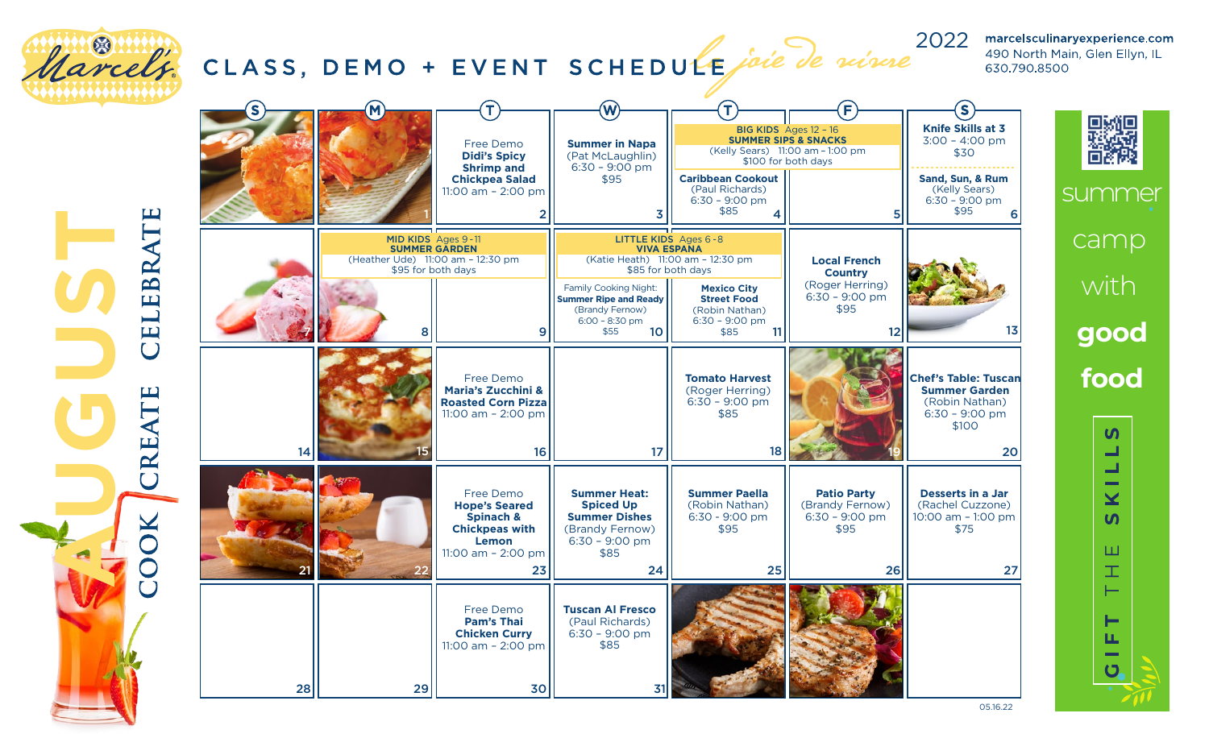

05.16.22